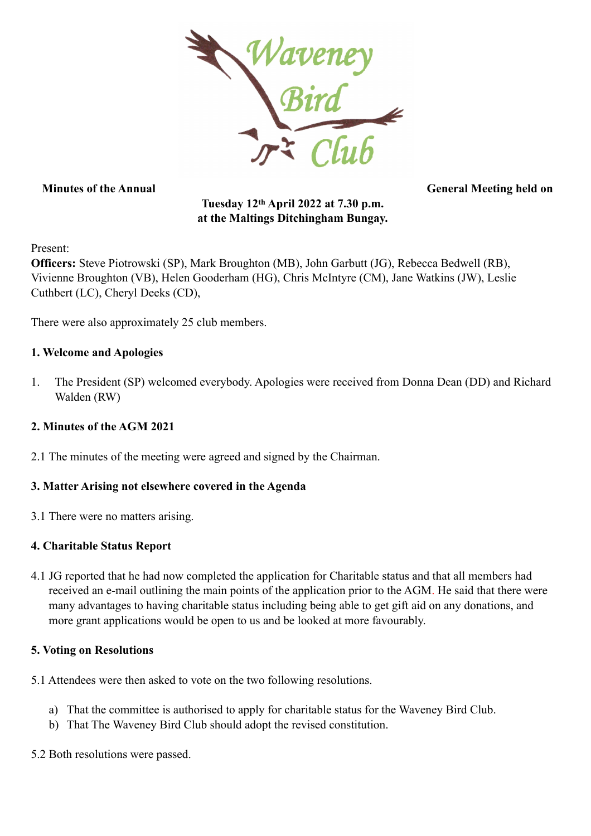

**Minutes of the Annual General Meeting held on** 

# **Tuesday 12th April 2022 at 7.30 p.m. at the Maltings Ditchingham Bungay.**

Present:

**Officers:** Steve Piotrowski (SP), Mark Broughton (MB), John Garbutt (JG), Rebecca Bedwell (RB), Vivienne Broughton (VB), Helen Gooderham (HG), Chris McIntyre (CM), Jane Watkins (JW), Leslie Cuthbert (LC), Cheryl Deeks (CD),

There were also approximately 25 club members.

#### **1. Welcome and Apologies**

1. The President (SP) welcomed everybody. Apologies were received from Donna Dean (DD) and Richard Walden (RW)

## **2. Minutes of the AGM 2021**

2.1 The minutes of the meeting were agreed and signed by the Chairman.

#### **3. Matter Arising not elsewhere covered in the Agenda**

3.1 There were no matters arising.

#### **4. Charitable Status Report**

4.1 JG reported that he had now completed the application for Charitable status and that all members had received an e-mail outlining the main points of the application prior to the AGM. He said that there were many advantages to having charitable status including being able to get gift aid on any donations, and more grant applications would be open to us and be looked at more favourably.

#### **5. Voting on Resolutions**

- 5.1 Attendees were then asked to vote on the two following resolutions.
	- a) That the committee is authorised to apply for charitable status for the Waveney Bird Club.
	- b) That The Waveney Bird Club should adopt the revised constitution.
- 5.2 Both resolutions were passed.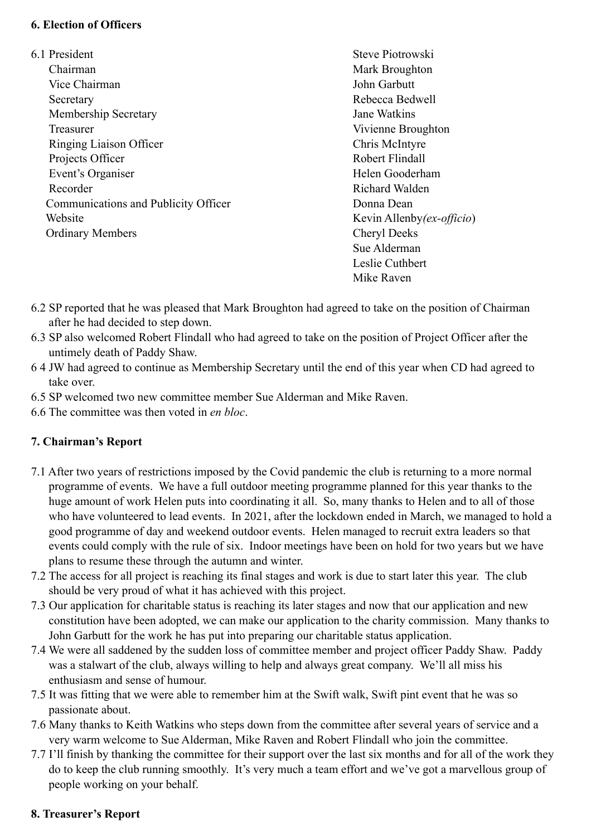#### **6. Election of Officers**

6.1 President Steve Piotrowski Chairman Mark Broughton Vice Chairman John Garbutt Secretary Rebecca Bedwell Membership Secretary Jane Watkins Treasurer Vivienne Broughton Ringing Liaison Officer Chris McIntyre Projects Officer Robert Flindall Event's Organiser Helen Gooderham Recorder Richard Walden Communications and Publicity Officer Donna Dean Website Kevin Allenby*(ex-officio*) Ordinary Members Cheryl Deeks

Sue Alderman Leslie Cuthbert Mike Raven

- 6.2 SP reported that he was pleased that Mark Broughton had agreed to take on the position of Chairman after he had decided to step down.
- 6.3 SP also welcomed Robert Flindall who had agreed to take on the position of Project Officer after the untimely death of Paddy Shaw.
- 6 4 JW had agreed to continue as Membership Secretary until the end of this year when CD had agreed to take over.
- 6.5 SP welcomed two new committee member Sue Alderman and Mike Raven.
- 6.6 The committee was then voted in *en bloc*.

## **7. Chairman's Report**

- 7.1 After two years of restrictions imposed by the Covid pandemic the club is returning to a more normal programme of events. We have a full outdoor meeting programme planned for this year thanks to the huge amount of work Helen puts into coordinating it all. So, many thanks to Helen and to all of those who have volunteered to lead events. In 2021, after the lockdown ended in March, we managed to hold a good programme of day and weekend outdoor events. Helen managed to recruit extra leaders so that events could comply with the rule of six. Indoor meetings have been on hold for two years but we have plans to resume these through the autumn and winter.
- 7.2 The access for all project is reaching its final stages and work is due to start later this year. The club should be very proud of what it has achieved with this project.
- 7.3 Our application for charitable status is reaching its later stages and now that our application and new constitution have been adopted, we can make our application to the charity commission. Many thanks to John Garbutt for the work he has put into preparing our charitable status application.
- 7.4 We were all saddened by the sudden loss of committee member and project officer Paddy Shaw. Paddy was a stalwart of the club, always willing to help and always great company. We'll all miss his enthusiasm and sense of humour.
- 7.5 It was fitting that we were able to remember him at the Swift walk, Swift pint event that he was so passionate about.
- 7.6 Many thanks to Keith Watkins who steps down from the committee after several years of service and a very warm welcome to Sue Alderman, Mike Raven and Robert Flindall who join the committee.
- 7.7 I'll finish by thanking the committee for their support over the last six months and for all of the work they do to keep the club running smoothly. It's very much a team effort and we've got a marvellous group of people working on your behalf.

## **8. Treasurer's Report**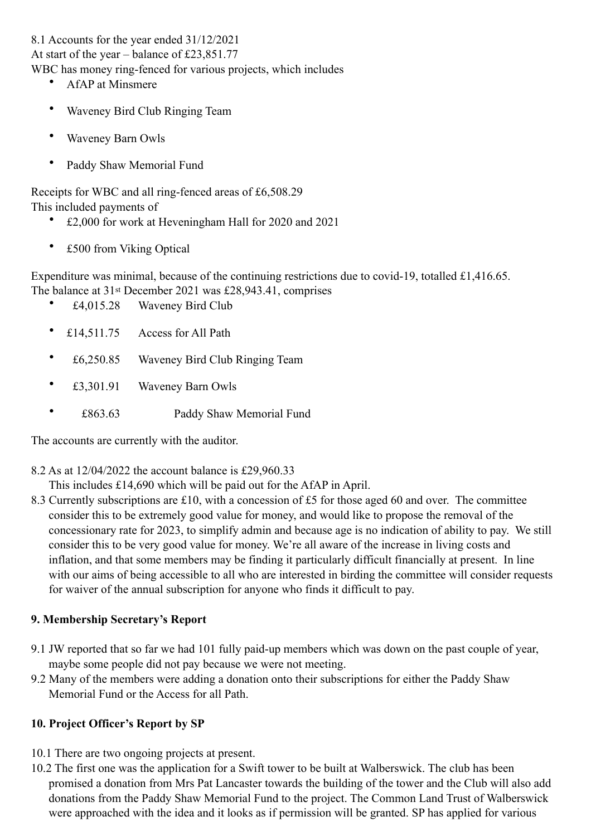8.1 Accounts for the year ended 31/12/2021

At start of the year – balance of £23,851.77

WBC has money ring-fenced for various projects, which includes

- AfAP at Minsmere
- Waveney Bird Club Ringing Team
- Waveney Barn Owls
- Paddy Shaw Memorial Fund

Receipts for WBC and all ring-fenced areas of £6,508.29 This included payments of

- £2,000 for work at Heveningham Hall for 2020 and 2021
- £500 from Viking Optical

Expenditure was minimal, because of the continuing restrictions due to covid-19, totalled £1,416.65. The balance at 31st December 2021 was £28,943.41, comprises

- £4,015.28 Waveney Bird Club
- £14,511.75 Access for All Path
- £6,250.85 Waveney Bird Club Ringing Team
- £3,301.91 Waveney Barn Owls
- £863.63 Paddy Shaw Memorial Fund

The accounts are currently with the auditor.

8.2 As at 12/04/2022 the account balance is £29,960.33

This includes £14,690 which will be paid out for the AfAP in April.

8.3 Currently subscriptions are £10, with a concession of £5 for those aged 60 and over. The committee consider this to be extremely good value for money, and would like to propose the removal of the concessionary rate for 2023, to simplify admin and because age is no indication of ability to pay. We still consider this to be very good value for money. We're all aware of the increase in living costs and inflation, and that some members may be finding it particularly difficult financially at present. In line with our aims of being accessible to all who are interested in birding the committee will consider requests for waiver of the annual subscription for anyone who finds it difficult to pay.

## **9. Membership Secretary's Report**

- 9.1 JW reported that so far we had 101 fully paid-up members which was down on the past couple of year, maybe some people did not pay because we were not meeting.
- 9.2 Many of the members were adding a donation onto their subscriptions for either the Paddy Shaw Memorial Fund or the Access for all Path.

## **10. Project Officer's Report by SP**

- 10.1 There are two ongoing projects at present.
- 10.2 The first one was the application for a Swift tower to be built at Walberswick. The club has been promised a donation from Mrs Pat Lancaster towards the building of the tower and the Club will also add donations from the Paddy Shaw Memorial Fund to the project. The Common Land Trust of Walberswick were approached with the idea and it looks as if permission will be granted. SP has applied for various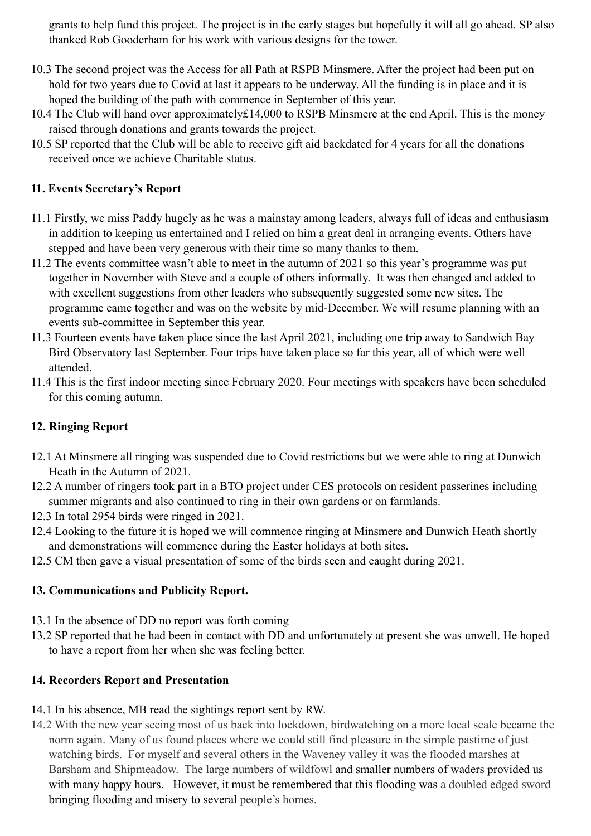grants to help fund this project. The project is in the early stages but hopefully it will all go ahead. SP also thanked Rob Gooderham for his work with various designs for the tower.

- 10.3 The second project was the Access for all Path at RSPB Minsmere. After the project had been put on hold for two years due to Covid at last it appears to be underway. All the funding is in place and it is hoped the building of the path with commence in September of this year.
- 10.4 The Club will hand over approximately£14,000 to RSPB Minsmere at the end April. This is the money raised through donations and grants towards the project.
- 10.5 SP reported that the Club will be able to receive gift aid backdated for 4 years for all the donations received once we achieve Charitable status.

#### **11. Events Secretary's Report**

- 11.1 Firstly, we miss Paddy hugely as he was a mainstay among leaders, always full of ideas and enthusiasm in addition to keeping us entertained and I relied on him a great deal in arranging events. Others have stepped and have been very generous with their time so many thanks to them.
- 11.2 The events committee wasn't able to meet in the autumn of 2021 so this year's programme was put together in November with Steve and a couple of others informally. It was then changed and added to with excellent suggestions from other leaders who subsequently suggested some new sites. The programme came together and was on the website by mid-December. We will resume planning with an events sub-committee in September this year.
- 11.3 Fourteen events have taken place since the last April 2021, including one trip away to Sandwich Bay Bird Observatory last September. Four trips have taken place so far this year, all of which were well attended.
- 11.4 This is the first indoor meeting since February 2020. Four meetings with speakers have been scheduled for this coming autumn.

## **12. Ringing Report**

- 12.1 At Minsmere all ringing was suspended due to Covid restrictions but we were able to ring at Dunwich Heath in the Autumn of 2021.
- 12.2 A number of ringers took part in a BTO project under CES protocols on resident passerines including summer migrants and also continued to ring in their own gardens or on farmlands.
- 12.3 In total 2954 birds were ringed in 2021.
- 12.4 Looking to the future it is hoped we will commence ringing at Minsmere and Dunwich Heath shortly and demonstrations will commence during the Easter holidays at both sites.
- 12.5 CM then gave a visual presentation of some of the birds seen and caught during 2021.

## **13. Communications and Publicity Report.**

- 13.1 In the absence of DD no report was forth coming
- 13.2 SP reported that he had been in contact with DD and unfortunately at present she was unwell. He hoped to have a report from her when she was feeling better.

## **14. Recorders Report and Presentation**

- 14.1 In his absence, MB read the sightings report sent by RW.
- 14.2 With the new year seeing most of us back into lockdown, birdwatching on a more local scale became the norm again. Many of us found places where we could still find pleasure in the simple pastime of just watching birds. For myself and several others in the Waveney valley it was the flooded marshes at Barsham and Shipmeadow. The large numbers of wildfowl and smaller numbers of waders provided us with many happy hours. However, it must be remembered that this flooding was a doubled edged sword bringing flooding and misery to several people's homes.